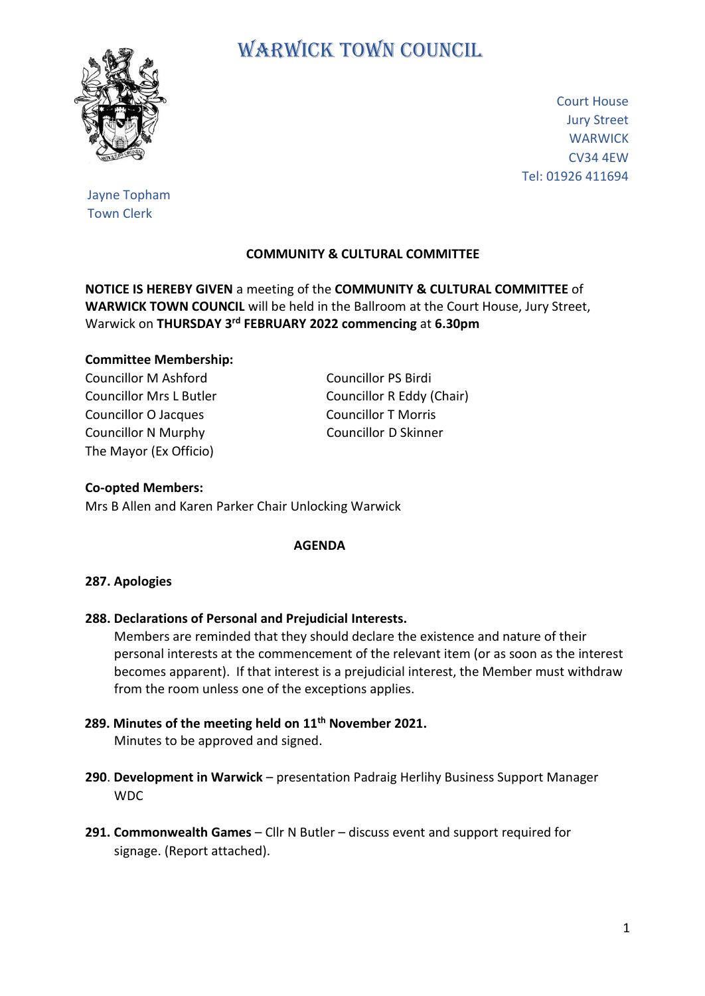

# WARWICK TOWN COUNCIL

Court House Jury Street **WARWICK** CV34 4EW Tel: 01926 411694

Jayne Topham Town Clerk

# **COMMUNITY & CULTURAL COMMITTEE**

**NOTICE IS HEREBY GIVEN** a meeting of the **COMMUNITY & CULTURAL COMMITTEE** of **WARWICK TOWN COUNCIL** will be held in the Ballroom at the Court House, Jury Street, Warwick on **THURSDAY 3 rd FEBRUARY 2022 commencing** at **6.30pm**

## **Committee Membership:**

Councillor M Ashford Councillor PS Birdi Councillor Mrs L Butler Councillor R Eddy (Chair) Councillor O Jacques Councillor T Morris Councillor N Murphy Councillor D Skinner The Mayor (Ex Officio)

#### **Co-opted Members:**

Mrs B Allen and Karen Parker Chair Unlocking Warwick

#### **AGENDA**

## **287. Apologies**

**288. Declarations of Personal and Prejudicial Interests.**

 Members are reminded that they should declare the existence and nature of their personal interests at the commencement of the relevant item (or as soon as the interest becomes apparent). If that interest is a prejudicial interest, the Member must withdraw from the room unless one of the exceptions applies.

- **289. Minutes of the meeting held on 11th November 2021.** Minutes to be approved and signed.
- **290**. **Development in Warwick** presentation Padraig Herlihy Business Support Manager WDC
- **291. Commonwealth Games**  Cllr N Butler discuss event and support required for signage. (Report attached).